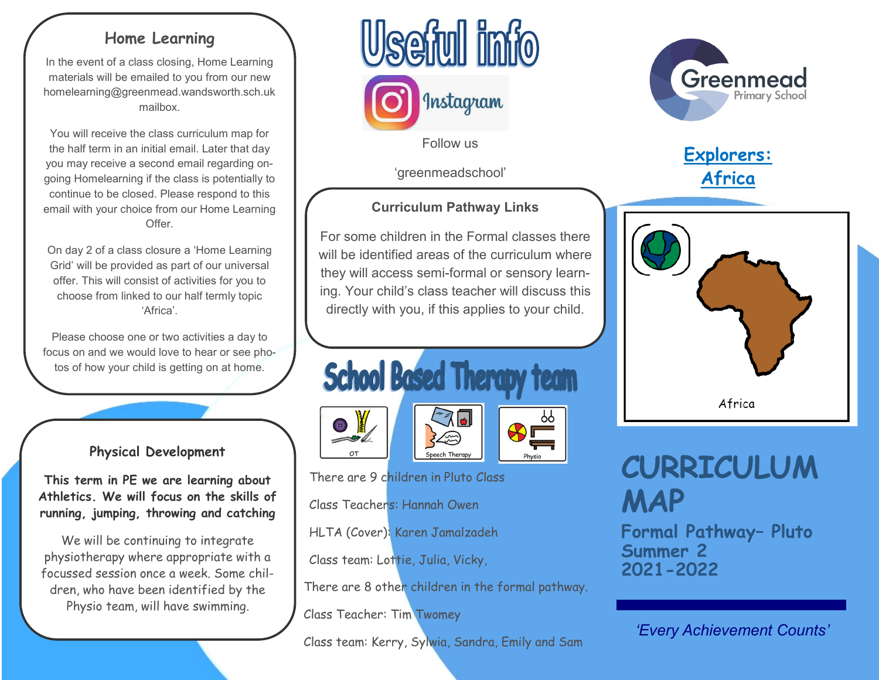# **Home Learning**

In the event of a class closing, Home Learning materials will be emailed to you from our new homelearning@greenmead.wandsworth.sch.uk mailbox.

You will receive the class curriculum map for the half term in an initial email. Later that day you may receive a second email regarding ongoing Homelearning if the class is potentially to continue to be closed. Please respond to this email with your choice from our Home Learning Offer.

On day 2 of a class closure a 'Home Learning Grid' will be provided as part of our universal offer. This will consist of activities for you to choose from linked to our half termly topic 'Africa'.

Please choose one or two activities a day to focus on and we would love to hear or see photos of how your child is getting on at home.

## **Physical Development**

**This term in PE we are learning about Athletics. We will focus on the skills of running, jumping, throwing and catching**

We will be continuing to integrate physiotherapy where appropriate with a focussed session once a week. Some children, who have been identified by the Physio team, will have swimming.



Follow us

'greenmeadschool'

# **Curriculum Pathway Links**

For some children in the Formal classes there will be identified areas of the curriculum where they will access semi-formal or sensory learning. Your child's class teacher will discuss this directly with you, if this applies to your child.







ბბ

There are 9 children in Pluto Class

Class Teachers: Hannah Owen

HLTA (Cover): Karen Jamalzadeh

Class team: Lottie, Julia, Vicky,

There are 8 other children in the formal pathway.

Class Teacher: Tim Twomey

Class team: Kerry, Sylwia, Sandra, Emily and Sam



# **Explorers: Africa**



# **CURRICULUM MAP**

**Formal Pathway– Pluto Summer 2 2021-2022**

*'Every Achievement Counts'*